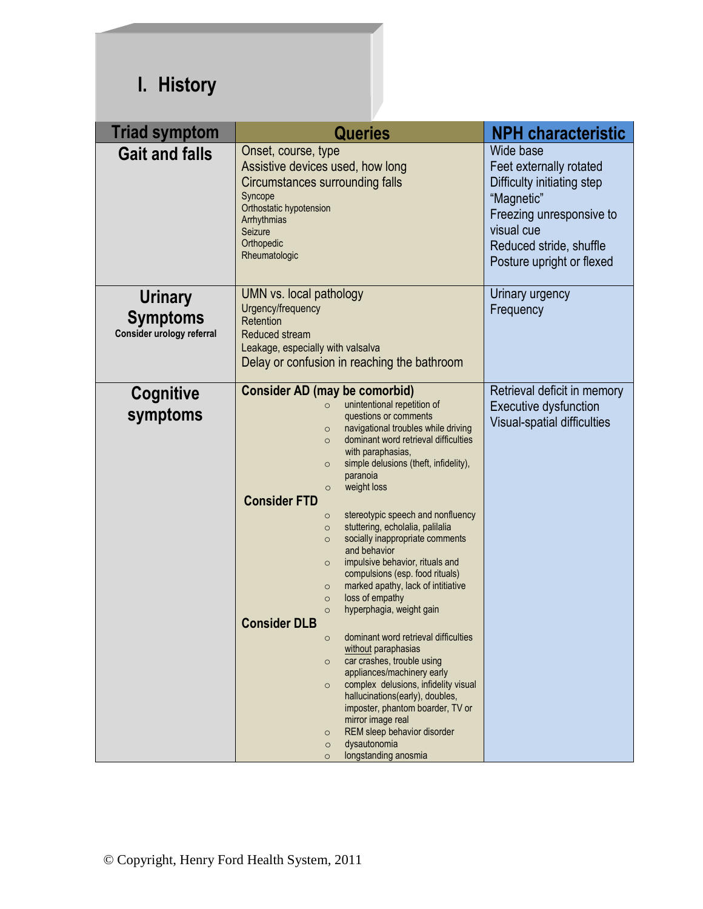## **I. History**

| <b>Triad symptom</b>                                           | <b>Queries</b>                                                                                                                                                                                                                                                                                                                                                                                                                                                                                                                                                                                                                                                                                                                                                                                                                                                                                                                                                                                                                                                                                                                                        | <b>NPH characteristic</b>                                                                                                                                                          |
|----------------------------------------------------------------|-------------------------------------------------------------------------------------------------------------------------------------------------------------------------------------------------------------------------------------------------------------------------------------------------------------------------------------------------------------------------------------------------------------------------------------------------------------------------------------------------------------------------------------------------------------------------------------------------------------------------------------------------------------------------------------------------------------------------------------------------------------------------------------------------------------------------------------------------------------------------------------------------------------------------------------------------------------------------------------------------------------------------------------------------------------------------------------------------------------------------------------------------------|------------------------------------------------------------------------------------------------------------------------------------------------------------------------------------|
| <b>Gait and falls</b>                                          | Onset, course, type<br>Assistive devices used, how long<br>Circumstances surrounding falls<br>Syncope<br>Orthostatic hypotension<br>Arrhythmias<br>Seizure<br>Orthopedic<br>Rheumatologic                                                                                                                                                                                                                                                                                                                                                                                                                                                                                                                                                                                                                                                                                                                                                                                                                                                                                                                                                             | Wide base<br>Feet externally rotated<br>Difficulty initiating step<br>"Magnetic"<br>Freezing unresponsive to<br>visual cue<br>Reduced stride, shuffle<br>Posture upright or flexed |
| <b>Urinary</b><br><b>Symptoms</b><br>Consider urology referral | UMN vs. local pathology<br>Urgency/frequency<br>Retention<br>Reduced stream<br>Leakage, especially with valsalva<br>Delay or confusion in reaching the bathroom                                                                                                                                                                                                                                                                                                                                                                                                                                                                                                                                                                                                                                                                                                                                                                                                                                                                                                                                                                                       | Urinary urgency<br>Frequency                                                                                                                                                       |
| Cognitive<br>symptoms                                          | <b>Consider AD (may be comorbid)</b><br>unintentional repetition of<br>$\circ$<br>questions or comments<br>navigational troubles while driving<br>$\circ$<br>dominant word retrieval difficulties<br>$\circ$<br>with paraphasias,<br>simple delusions (theft, infidelity),<br>$\circ$<br>paranoia<br>weight loss<br>$\circ$<br><b>Consider FTD</b><br>stereotypic speech and nonfluency<br>$\circ$<br>stuttering, echolalia, palilalia<br>$\circ$<br>socially inappropriate comments<br>$\circ$<br>and behavior<br>impulsive behavior, rituals and<br>$\circ$<br>compulsions (esp. food rituals)<br>marked apathy, lack of intitiative<br>$\circ$<br>loss of empathy<br>$\circ$<br>hyperphagia, weight gain<br>$\circ$<br><b>Consider DLB</b><br>dominant word retrieval difficulties<br>$\circ$<br>without paraphasias<br>car crashes, trouble using<br>$\circ$<br>appliances/machinery early<br>complex delusions, infidelity visual<br>$\circ$<br>hallucinations(early), doubles,<br>imposter, phantom boarder, TV or<br>mirror image real<br>REM sleep behavior disorder<br>$\circ$<br>dysautonomia<br>$\circ$<br>longstanding anosmia<br>$\circ$ | Retrieval deficit in memory<br><b>Executive dysfunction</b><br>Visual-spatial difficulties                                                                                         |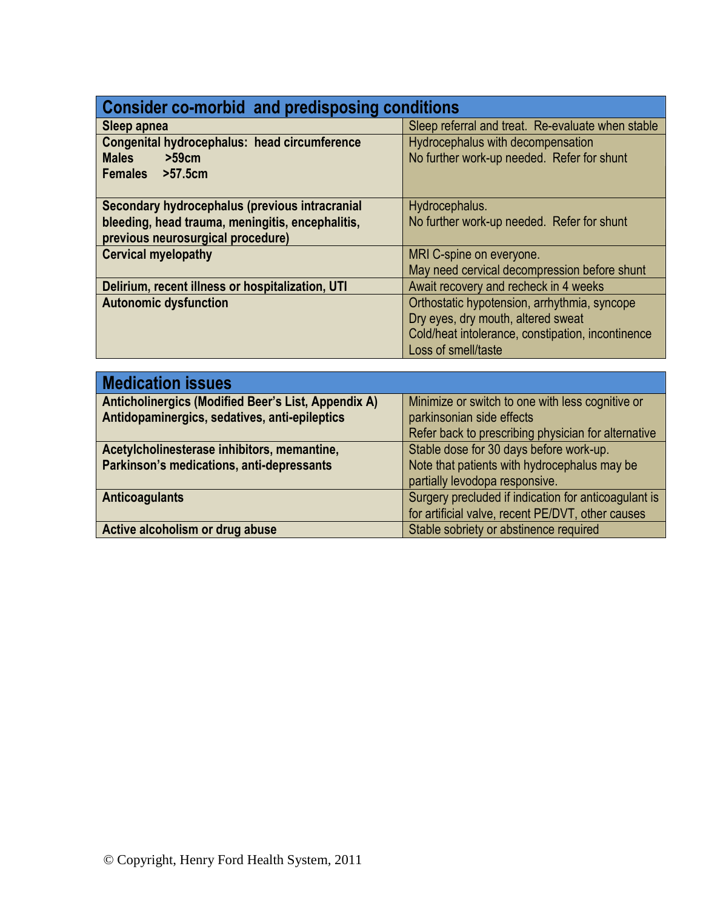#### **Consider co-morbid and predisposing conditions**

| $\sim$                                            |  |  |
|---------------------------------------------------|--|--|
| Sleep referral and treat. Re-evaluate when stable |  |  |
| Hydrocephalus with decompensation                 |  |  |
| No further work-up needed. Refer for shunt        |  |  |
|                                                   |  |  |
|                                                   |  |  |
| Hydrocephalus.                                    |  |  |
| No further work-up needed. Refer for shunt        |  |  |
|                                                   |  |  |
| MRI C-spine on everyone.                          |  |  |
| May need cervical decompression before shunt      |  |  |
| Await recovery and recheck in 4 weeks             |  |  |
| Orthostatic hypotension, arrhythmia, syncope      |  |  |
| Dry eyes, dry mouth, altered sweat                |  |  |
| Cold/heat intolerance, constipation, incontinence |  |  |
| Loss of smell/taste                               |  |  |
|                                                   |  |  |

| <b>Medication issues</b>                            |                                                      |
|-----------------------------------------------------|------------------------------------------------------|
| Anticholinergics (Modified Beer's List, Appendix A) | Minimize or switch to one with less cognitive or     |
| Antidopaminergics, sedatives, anti-epileptics       | parkinsonian side effects                            |
|                                                     | Refer back to prescribing physician for alternative  |
| Acetylcholinesterase inhibitors, memantine,         | Stable dose for 30 days before work-up.              |
| Parkinson's medications, anti-depressants           | Note that patients with hydrocephalus may be         |
|                                                     | partially levodopa responsive.                       |
| <b>Anticoagulants</b>                               | Surgery precluded if indication for anticoagulant is |
|                                                     | for artificial valve, recent PE/DVT, other causes    |
| Active alcoholism or drug abuse                     | Stable sobriety or abstinence required               |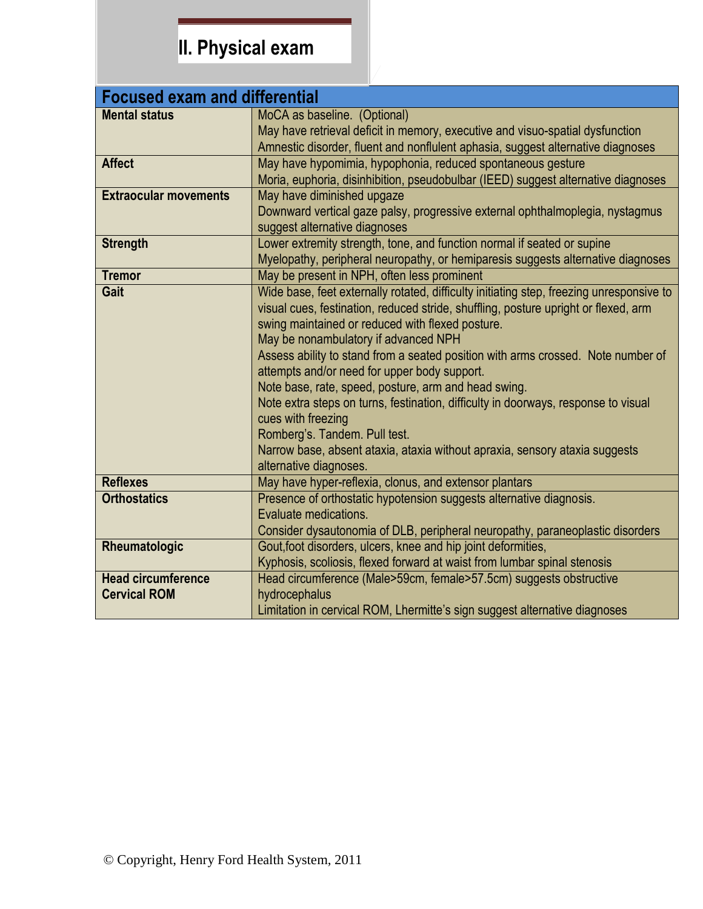## **II. Physical exam**

| <b>Focused exam and differential</b> |                                                                                          |  |
|--------------------------------------|------------------------------------------------------------------------------------------|--|
| <b>Mental status</b>                 | MoCA as baseline. (Optional)                                                             |  |
|                                      | May have retrieval deficit in memory, executive and visuo-spatial dysfunction            |  |
|                                      | Amnestic disorder, fluent and nonflulent aphasia, suggest alternative diagnoses          |  |
| <b>Affect</b>                        | May have hypomimia, hypophonia, reduced spontaneous gesture                              |  |
|                                      | Moria, euphoria, disinhibition, pseudobulbar (IEED) suggest alternative diagnoses        |  |
| <b>Extraocular movements</b>         | May have diminished upgaze                                                               |  |
|                                      | Downward vertical gaze palsy, progressive external ophthalmoplegia, nystagmus            |  |
|                                      | suggest alternative diagnoses                                                            |  |
| <b>Strength</b>                      | Lower extremity strength, tone, and function normal if seated or supine                  |  |
|                                      | Myelopathy, peripheral neuropathy, or hemiparesis suggests alternative diagnoses         |  |
| <b>Tremor</b>                        | May be present in NPH, often less prominent                                              |  |
| Gait                                 | Wide base, feet externally rotated, difficulty initiating step, freezing unresponsive to |  |
|                                      | visual cues, festination, reduced stride, shuffling, posture upright or flexed, arm      |  |
|                                      | swing maintained or reduced with flexed posture.                                         |  |
|                                      | May be nonambulatory if advanced NPH                                                     |  |
|                                      | Assess ability to stand from a seated position with arms crossed. Note number of         |  |
|                                      | attempts and/or need for upper body support.                                             |  |
|                                      | Note base, rate, speed, posture, arm and head swing.                                     |  |
|                                      | Note extra steps on turns, festination, difficulty in doorways, response to visual       |  |
|                                      | cues with freezing                                                                       |  |
|                                      | Romberg's. Tandem. Pull test.                                                            |  |
|                                      | Narrow base, absent ataxia, ataxia without apraxia, sensory ataxia suggests              |  |
| <b>Reflexes</b>                      | alternative diagnoses.<br>May have hyper-reflexia, clonus, and extensor plantars         |  |
| <b>Orthostatics</b>                  | Presence of orthostatic hypotension suggests alternative diagnosis.                      |  |
|                                      | Evaluate medications.                                                                    |  |
|                                      | Consider dysautonomia of DLB, peripheral neuropathy, paraneoplastic disorders            |  |
| Rheumatologic                        | Gout, foot disorders, ulcers, knee and hip joint deformities,                            |  |
|                                      | Kyphosis, scoliosis, flexed forward at waist from lumbar spinal stenosis                 |  |
| <b>Head circumference</b>            | Head circumference (Male>59cm, female>57.5cm) suggests obstructive                       |  |
| <b>Cervical ROM</b>                  | hydrocephalus                                                                            |  |
|                                      | Limitation in cervical ROM, Lhermitte's sign suggest alternative diagnoses               |  |
|                                      |                                                                                          |  |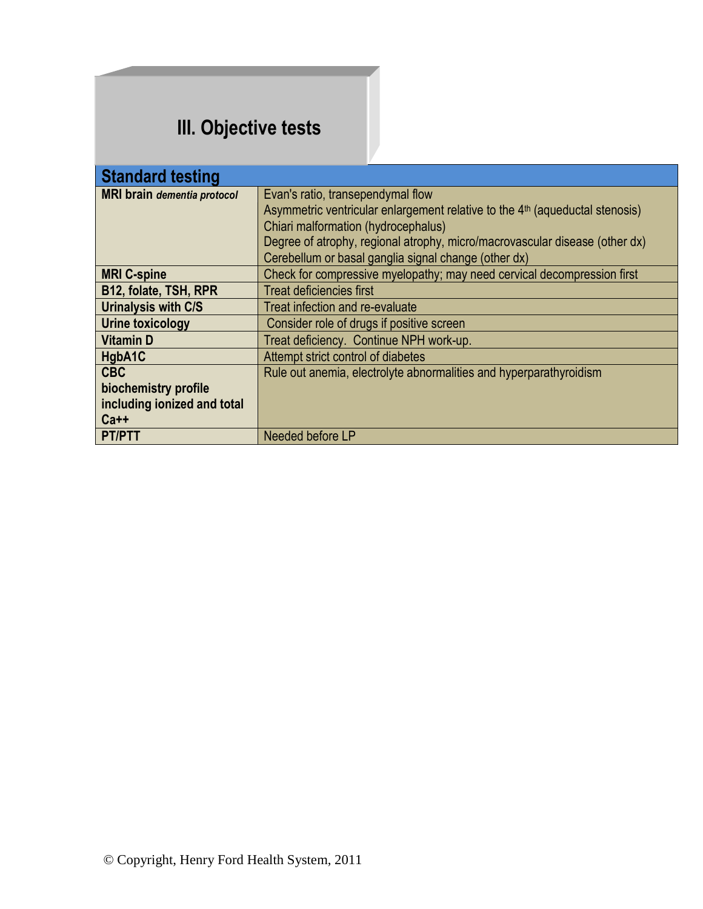### **III. Objective tests**

| <b>Standard testing</b>            |                                                                                          |  |
|------------------------------------|------------------------------------------------------------------------------------------|--|
| <b>MRI</b> brain dementia protocol | Evan's ratio, transependymal flow                                                        |  |
|                                    | Asymmetric ventricular enlargement relative to the 4 <sup>th</sup> (aqueductal stenosis) |  |
|                                    | Chiari malformation (hydrocephalus)                                                      |  |
|                                    | Degree of atrophy, regional atrophy, micro/macrovascular disease (other dx)              |  |
|                                    | Cerebellum or basal ganglia signal change (other dx)                                     |  |
| <b>MRI C-spine</b>                 | Check for compressive myelopathy; may need cervical decompression first                  |  |
| B12, folate, TSH, RPR              | <b>Treat deficiencies first</b>                                                          |  |
| <b>Urinalysis with C/S</b>         | Treat infection and re-evaluate                                                          |  |
| Urine toxicology                   | Consider role of drugs if positive screen                                                |  |
| <b>Vitamin D</b>                   | Treat deficiency. Continue NPH work-up.                                                  |  |
| HgbA1C                             | Attempt strict control of diabetes                                                       |  |
| <b>CBC</b>                         | Rule out anemia, electrolyte abnormalities and hyperparathyroidism                       |  |
| biochemistry profile               |                                                                                          |  |
| including ionized and total        |                                                                                          |  |
| $Ca++$                             |                                                                                          |  |
| <b>PT/PTT</b>                      | Needed before LP                                                                         |  |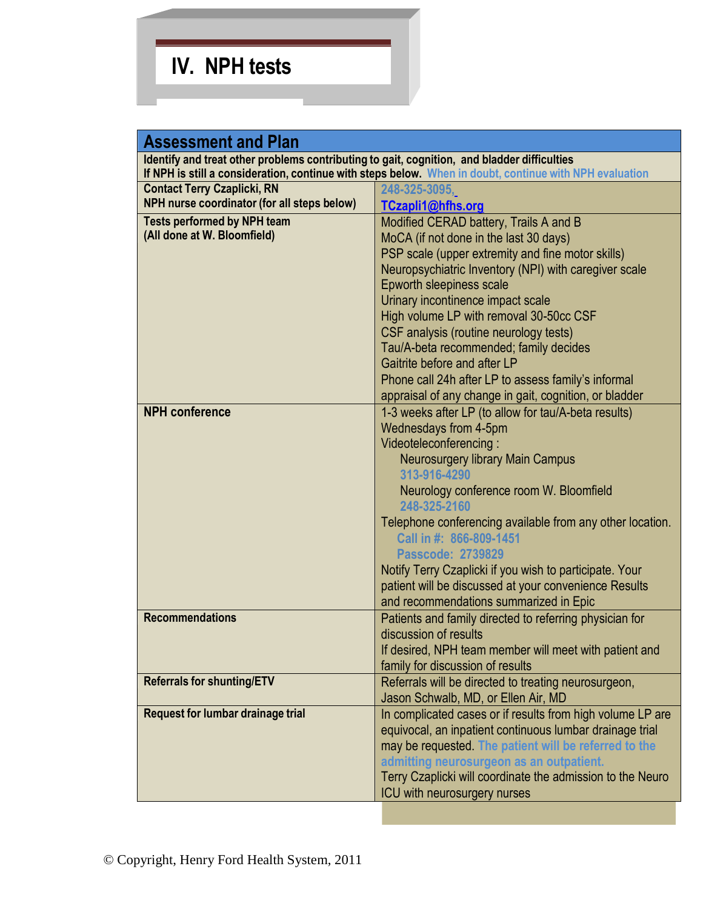# **IV. NPH tests**

| <b>Assessment and Plan</b>                                                                  |                                                                                                         |  |
|---------------------------------------------------------------------------------------------|---------------------------------------------------------------------------------------------------------|--|
| Identify and treat other problems contributing to gait, cognition, and bladder difficulties |                                                                                                         |  |
|                                                                                             | If NPH is still a consideration, continue with steps below. When in doubt, continue with NPH evaluation |  |
| <b>Contact Terry Czaplicki, RN</b>                                                          | 248-325-3095,                                                                                           |  |
| NPH nurse coordinator (for all steps below)                                                 | TCzapli1@hfhs.org                                                                                       |  |
| <b>Tests performed by NPH team</b>                                                          | Modified CERAD battery, Trails A and B                                                                  |  |
| (All done at W. Bloomfield)                                                                 | MoCA (if not done in the last 30 days)                                                                  |  |
|                                                                                             | PSP scale (upper extremity and fine motor skills)                                                       |  |
|                                                                                             | Neuropsychiatric Inventory (NPI) with caregiver scale                                                   |  |
|                                                                                             | Epworth sleepiness scale                                                                                |  |
|                                                                                             | Urinary incontinence impact scale                                                                       |  |
|                                                                                             | High volume LP with removal 30-50cc CSF                                                                 |  |
|                                                                                             | CSF analysis (routine neurology tests)                                                                  |  |
|                                                                                             | Tau/A-beta recommended; family decides                                                                  |  |
|                                                                                             | Gaitrite before and after LP                                                                            |  |
|                                                                                             | Phone call 24h after LP to assess family's informal                                                     |  |
|                                                                                             | appraisal of any change in gait, cognition, or bladder                                                  |  |
| <b>NPH</b> conference                                                                       | 1-3 weeks after LP (to allow for tau/A-beta results)                                                    |  |
|                                                                                             | Wednesdays from 4-5pm                                                                                   |  |
|                                                                                             | Videoteleconferencing:                                                                                  |  |
|                                                                                             | Neurosurgery library Main Campus                                                                        |  |
|                                                                                             | 313-916-4290                                                                                            |  |
|                                                                                             | Neurology conference room W. Bloomfield                                                                 |  |
|                                                                                             | 248-325-2160                                                                                            |  |
|                                                                                             | Telephone conferencing available from any other location.                                               |  |
|                                                                                             | Call in #: 866-809-1451                                                                                 |  |
|                                                                                             | <b>Passcode: 2739829</b>                                                                                |  |
|                                                                                             | Notify Terry Czaplicki if you wish to participate. Your                                                 |  |
|                                                                                             | patient will be discussed at your convenience Results                                                   |  |
|                                                                                             | and recommendations summarized in Epic                                                                  |  |
| <b>Recommendations</b>                                                                      | Patients and family directed to referring physician for                                                 |  |
|                                                                                             | discussion of results                                                                                   |  |
|                                                                                             | If desired, NPH team member will meet with patient and                                                  |  |
|                                                                                             | family for discussion of results                                                                        |  |
| <b>Referrals for shunting/ETV</b>                                                           | Referrals will be directed to treating neurosurgeon,                                                    |  |
|                                                                                             | Jason Schwalb, MD, or Ellen Air, MD                                                                     |  |
| <b>Request for lumbar drainage trial</b>                                                    | In complicated cases or if results from high volume LP are                                              |  |
|                                                                                             | equivocal, an inpatient continuous lumbar drainage trial                                                |  |
|                                                                                             | may be requested. The patient will be referred to the                                                   |  |
|                                                                                             | admitting neurosurgeon as an outpatient.                                                                |  |
|                                                                                             | Terry Czaplicki will coordinate the admission to the Neuro                                              |  |
|                                                                                             | ICU with neurosurgery nurses                                                                            |  |